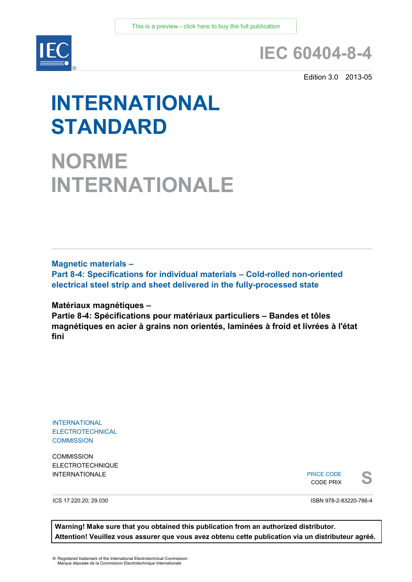

# **IEC 60404-8-4**

Edition 3.0 2013-05

# **INTERNATIONAL STANDARD**

**NORME INTERNATIONALE**

**Magnetic materials –**

**Part 8-4: Specifications for individual materials – Cold-rolled non-oriented electrical steel strip and sheet delivered in the fully-processed state** 

#### **Matériaux magnétiques –**

**Partie 8-4: Spécifications pour matériaux particuliers – Bandes et tôles magnétiques en acier à grains non orientés, laminées à froid et livrées à l'état fini**

INTERNATIONAL ELECTROTECHNICAL **COMMISSION** 

**COMMISSION** ELECTROTECHNIQUE

INTERNATIONALE PRICE CODE PRIX PRICE CODE CODE PRIX

ICS 17.220.20; 29.030

ISBN 978-2-83220-786-4

**Warning! Make sure that you obtained this publication from an authorized distributor. Attention! Veuillez vous assurer que vous avez obtenu cette publication via un distributeur agréé.**

® Registered trademark of the International Electrotechnical Commission Marque déposée de la Commission Electrotechnique Internationale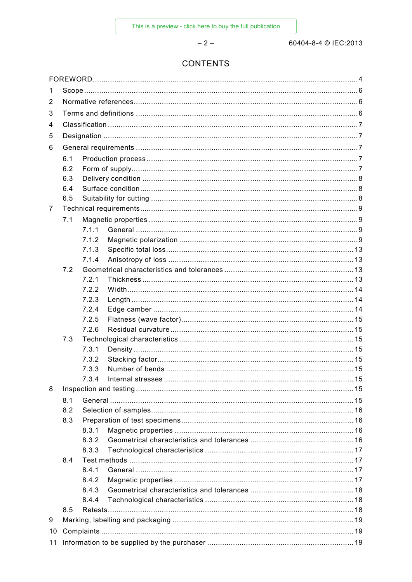$-2-$ 

# **CONTENTS**

| 1   |     |       |  |  |
|-----|-----|-------|--|--|
| 2   |     |       |  |  |
| 3   |     |       |  |  |
| 4   |     |       |  |  |
| 5   |     |       |  |  |
|     |     |       |  |  |
| 6   |     |       |  |  |
|     | 6.1 |       |  |  |
|     | 6.2 |       |  |  |
|     | 6.3 |       |  |  |
|     | 6.4 |       |  |  |
|     | 6.5 |       |  |  |
| 7   |     |       |  |  |
|     | 7.1 |       |  |  |
|     |     | 7.1.1 |  |  |
|     |     | 7.1.2 |  |  |
|     |     | 7.1.3 |  |  |
|     |     | 7.1.4 |  |  |
|     | 7.2 |       |  |  |
|     |     | 7.2.1 |  |  |
|     |     | 7.2.2 |  |  |
|     |     | 7.2.3 |  |  |
|     |     | 7.2.4 |  |  |
|     |     | 7.2.5 |  |  |
|     |     | 7.2.6 |  |  |
|     | 7.3 |       |  |  |
|     |     | 7.3.1 |  |  |
|     |     | 7.3.2 |  |  |
|     |     | 7.3.3 |  |  |
|     |     | 7.3.4 |  |  |
| 8   |     |       |  |  |
|     | 8.1 |       |  |  |
|     | 8.2 |       |  |  |
| 8.3 |     |       |  |  |
|     |     | 8.3.1 |  |  |
|     |     | 8.3.2 |  |  |
|     |     | 8.3.3 |  |  |
|     | 8.4 |       |  |  |
|     |     | 8.4.1 |  |  |
|     |     | 8.4.2 |  |  |
|     |     | 8.4.3 |  |  |
|     |     | 8.4.4 |  |  |
|     | 8.5 |       |  |  |
| 9   |     |       |  |  |
| 10  |     |       |  |  |
| 11  |     |       |  |  |
|     |     |       |  |  |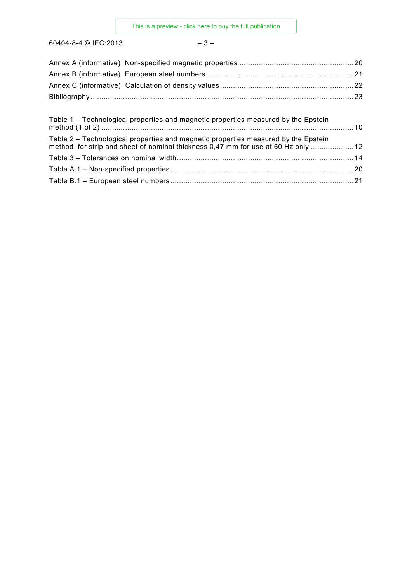60404-8-4 © IEC:2013 – 3 –

| Table 1 – Technological properties and magnetic properties measured by the Epstein                                                                                      |  |
|-------------------------------------------------------------------------------------------------------------------------------------------------------------------------|--|
| Table 2 – Technological properties and magnetic properties measured by the Epstein<br>method for strip and sheet of nominal thickness 0,47 mm for use at 60 Hz only  12 |  |
|                                                                                                                                                                         |  |
|                                                                                                                                                                         |  |
|                                                                                                                                                                         |  |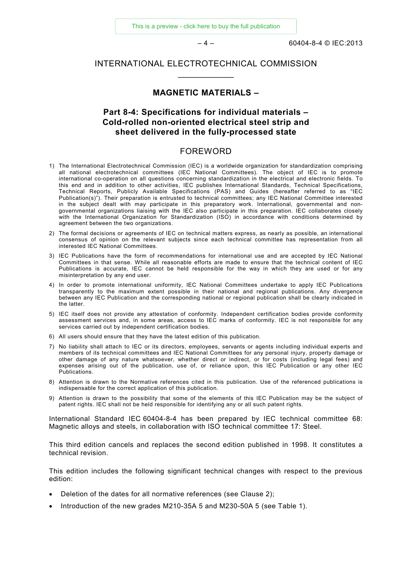# INTERNATIONAL ELECTROTECHNICAL COMMISSION  $\overline{\phantom{a}}$  , where  $\overline{\phantom{a}}$

#### **MAGNETIC MATERIALS –**

# **Part 8-4: Specifications for individual materials – Cold-rolled non-oriented electrical steel strip and sheet delivered in the fully-processed state**

#### FOREWORD

- 1) The International Electrotechnical Commission (IEC) is a worldwide organization for standardization comprising all national electrotechnical committees (IEC National Committees). The object of IEC is to promote international co-operation on all questions concerning standardization in the electrical and electronic fields. To this end and in addition to other activities, IEC publishes International Standards, Technical Specifications, Technical Reports, Publicly Available Specifications (PAS) and Guides (hereafter referred to as "IEC Publication(s)"). Their preparation is entrusted to technical committees; any IEC National Committee interested in the subject dealt with may participate in this preparatory work. International, governmental and nongovernmental organizations liaising with the IEC also participate in this preparation. IEC collaborates closely with the International Organization for Standardization (ISO) in accordance with conditions determined by agreement between the two organizations.
- 2) The formal decisions or agreements of IEC on technical matters express, as nearly as possible, an international consensus of opinion on the relevant subjects since each technical committee has representation from all interested IEC National Committees.
- 3) IEC Publications have the form of recommendations for international use and are accepted by IEC National Committees in that sense. While all reasonable efforts are made to ensure that the technical content of IEC Publications is accurate, IEC cannot be held responsible for the way in which they are used or for any misinterpretation by any end user.
- 4) In order to promote international uniformity, IEC National Committees undertake to apply IEC Publications transparently to the maximum extent possible in their national and regional publications. Any divergence between any IEC Publication and the corresponding national or regional publication shall be clearly indicated in the latter.
- 5) IEC itself does not provide any attestation of conformity. Independent certification bodies provide conformity assessment services and, in some areas, access to IEC marks of conformity. IEC is not responsible for any services carried out by independent certification bodies.
- 6) All users should ensure that they have the latest edition of this publication.
- 7) No liability shall attach to IEC or its directors, employees, servants or agents including individual experts and members of its technical committees and IEC National Committees for any personal injury, property damage or other damage of any nature whatsoever, whether direct or indirect, or for costs (including legal fees) and expenses arising out of the publication, use of, or reliance upon, this IEC Publication or any other IEC Publications.
- 8) Attention is drawn to the Normative references cited in this publication. Use of the referenced publications is indispensable for the correct application of this publication.
- 9) Attention is drawn to the possibility that some of the elements of this IEC Publication may be the subject of patent rights. IEC shall not be held responsible for identifying any or all such patent rights.

International Standard IEC 60404-8-4 has been prepared by IEC technical committee 68: Magnetic alloys and steels, in collaboration with ISO technical committee 17: Steel.

This third edition cancels and replaces the second edition published in 1998. It constitutes a technical revision.

This edition includes the following significant technical changes with respect to the previous edition:

- Deletion of the dates for all normative references (see Clause 2);
- Introduction of the new grades M210-35A 5 and M230-50A 5 (see Table 1).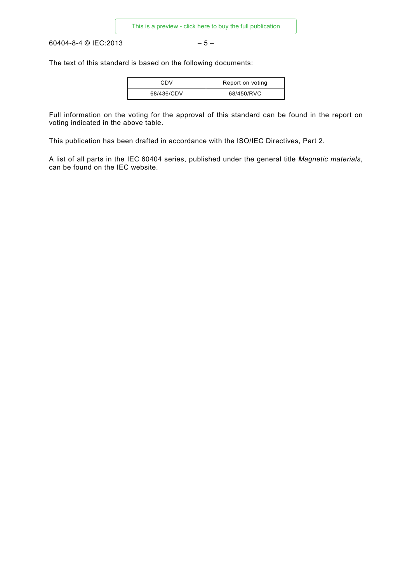60404-8-4 © IEC:2013 – 5 –

The text of this standard is based on the following documents:

| CDV        | Report on voting |
|------------|------------------|
| 68/436/CDV | 68/450/RVC       |

Full information on the voting for the approval of this standard can be found in the report on voting indicated in the above table.

This publication has been drafted in accordance with the ISO/IEC Directives, Part 2.

A list of all parts in the IEC 60404 series, published under the general title *Magnetic materials*, can be found on the IEC website.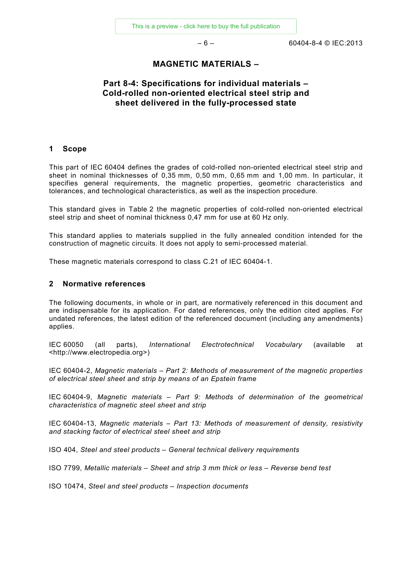$-6 - 6$ 

#### **MAGNETIC MATERIALS –**

# **Part 8-4: Specifications for individual materials – Cold-rolled non-oriented electrical steel strip and sheet delivered in the fully-processed state**

#### **1 Scope**

This part of IEC 60404 defines the grades of cold-rolled non-oriented electrical steel strip and sheet in nominal thicknesses of 0,35 mm, 0,50 mm, 0,65 mm and 1,00 mm. In particular, it specifies general requirements, the magnetic properties, geometric characteristics and tolerances, and technological characteristics, as well as the inspection procedure.

This standard gives in Table 2 the magnetic properties of cold-rolled non-oriented electrical steel strip and sheet of nominal thickness 0,47 mm for use at 60 Hz only.

This standard applies to materials supplied in the fully annealed condition intended for the construction of magnetic circuits. It does not apply to semi-processed material.

These magnetic materials correspond to class C.21 of IEC 60404-1.

#### **2 Normative references**

The following documents, in whole or in part, are normatively referenced in this document and are indispensable for its application. For dated references, only the edition cited applies. For undated references, the latest edition of the referenced document (including any amendments) applies.

IEC 60050 (all parts), *International Electrotechnical Vocabulary* (available at [<http://www.electropedia.org>](http://www.electropedia.org/))

IEC 60404-2, *Magnetic materials – Part 2: Methods of measurement of the magnetic properties of electrical steel sheet and strip by means of an Epstein frame*

IEC 60404-9, *Magnetic materials – Part 9: Methods of determination of the geometrical characteristics of magnetic steel sheet and strip*

IEC 60404-13, *Magnetic materials – Part 13: Methods of measurement of density, resistivity and stacking factor of electrical steel sheet and strip*

ISO 404, *Steel and steel products – General technical delivery requirements* 

ISO 7799, *Metallic materials – Sheet and strip 3 mm thick or less – Reverse bend test*

ISO 10474, *Steel and steel products – Inspection documents*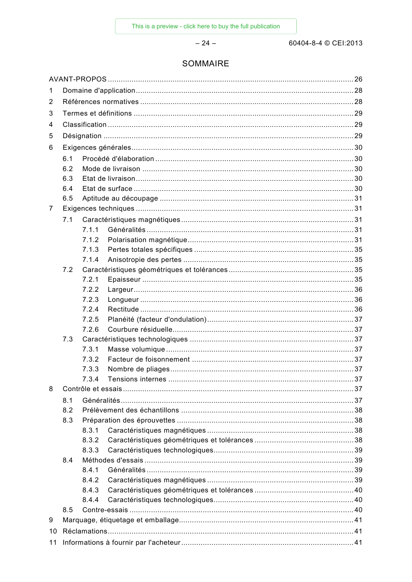$-24-$ 

# SOMMAIRE

| 1              |     |       |  |  |
|----------------|-----|-------|--|--|
| 2              |     |       |  |  |
| 3              |     |       |  |  |
| 4              |     |       |  |  |
| 5              |     |       |  |  |
| 6              |     |       |  |  |
| 6.1            |     |       |  |  |
|                | 6.2 |       |  |  |
|                | 6.3 |       |  |  |
|                | 6.4 |       |  |  |
|                | 6.5 |       |  |  |
| $\overline{7}$ |     |       |  |  |
|                | 7.1 |       |  |  |
|                |     | 7.1.1 |  |  |
|                |     | 7.1.2 |  |  |
|                |     | 7.1.3 |  |  |
|                |     | 7.1.4 |  |  |
|                | 7.2 |       |  |  |
|                |     | 7.2.1 |  |  |
|                |     | 7.2.2 |  |  |
|                |     | 7.2.3 |  |  |
|                |     | 7.2.4 |  |  |
|                |     | 7.2.5 |  |  |
|                |     | 7.2.6 |  |  |
|                | 7.3 |       |  |  |
|                |     | 7.3.1 |  |  |
|                |     | 7.3.2 |  |  |
|                |     | 7.3.3 |  |  |
|                |     | 7.3.4 |  |  |
| 8              |     |       |  |  |
|                | 8.1 |       |  |  |
|                | 8.2 |       |  |  |
| 8.3            |     |       |  |  |
|                |     | 8.3.1 |  |  |
|                |     | 8.3.2 |  |  |
|                |     | 8.3.3 |  |  |
|                | 8.4 | 8.4.1 |  |  |
|                |     | 8.4.2 |  |  |
|                |     | 8.4.3 |  |  |
|                |     | 8.4.4 |  |  |
|                | 8.5 |       |  |  |
| 9              |     |       |  |  |
| 10             |     |       |  |  |
| 11             |     |       |  |  |
|                |     |       |  |  |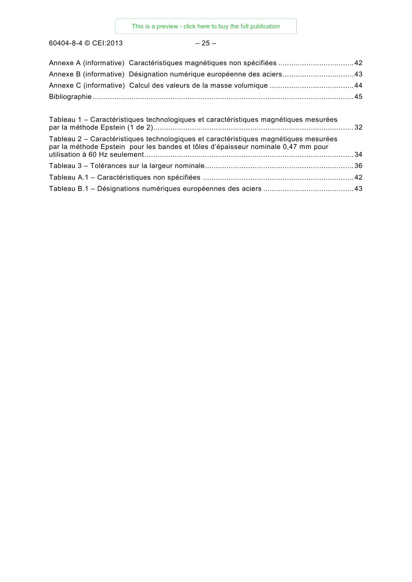60404-8-4 © CEI:2013 – 25 –

|                                 | Annexe A (informative) Caractéristiques magnétiques non spécifiées  42               |    |
|---------------------------------|--------------------------------------------------------------------------------------|----|
|                                 | Annexe B (informative) Désignation numérique européenne des aciers43                 |    |
|                                 |                                                                                      |    |
|                                 |                                                                                      |    |
|                                 |                                                                                      |    |
| nar la máthoda Enetain (1 de 2) | Tableau 1 – Caractéristiques technologiques et caractéristiques magnétiques mesurées | つつ |

| Tableau 2 - Caractéristiques technologiques et caractéristiques magnétiques mesurées<br>par la méthode Epstein pour les bandes et tôles d'épaisseur nominale 0,47 mm pour |  |
|---------------------------------------------------------------------------------------------------------------------------------------------------------------------------|--|
|                                                                                                                                                                           |  |
|                                                                                                                                                                           |  |
|                                                                                                                                                                           |  |
|                                                                                                                                                                           |  |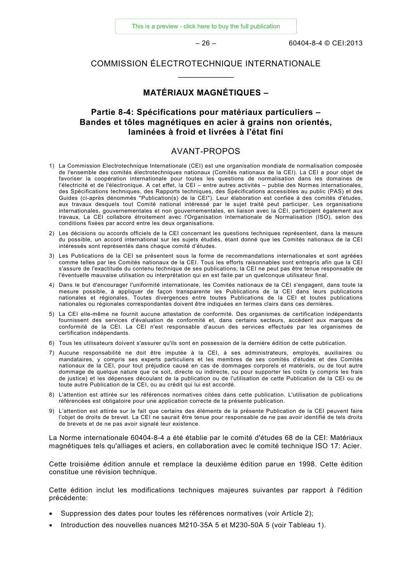# COMMISSION ÉLECTROTECHNIQUE INTERNATIONALE  $\overline{\phantom{a}}$  , where  $\overline{\phantom{a}}$

#### **MATÉRIAUX MAGNÉTIQUES –**

# **Partie 8-4: Spécifications pour matériaux particuliers – Bandes et tôles magnétiques en acier à grains non orientés, laminées à froid et livrées à l'état fini**

### AVANT-PROPOS

- 1) La Commission Electrotechnique Internationale (CEI) est une organisation mondiale de normalisation composée de l'ensemble des comités électrotechniques nationaux (Comités nationaux de la CEI). La CEI a pour objet de favoriser la coopération internationale pour toutes les questions de normalisation dans les domaines de l'électricité et de l'électronique. A cet effet, la CEI – entre autres activités – publie des Normes internationales, des Spécifications techniques, des Rapports techniques, des Spécifications accessibles au public (PAS) et des Guides (ci-après dénommés "Publication(s) de la CEI"). Leur élaboration est confiée à des comités d'études, aux travaux desquels tout Comité national intéressé par le sujet traité peut participer. Les organisations internationales, gouvernementales et non gouvernementales, en liaison avec la CEI, participent également aux travaux. La CEI collabore étroitement avec l'Organisation Internationale de Normalisation (ISO), selon des conditions fixées par accord entre les deux organisations.
- 2) Les décisions ou accords officiels de la CEI concernant les questions techniques représentent, dans la mesure du possible, un accord international sur les sujets étudiés, étant donné que les Comités nationaux de la CEI intéressés sont représentés dans chaque comité d'études.
- 3) Les Publications de la CEI se présentent sous la forme de recommandations internationales et sont agréées comme telles par les Comités nationaux de la CEI. Tous les efforts raisonnables sont entrepris afin que la CEI s'assure de l'exactitude du contenu technique de ses publications; la CEI ne peut pas être tenue responsable de l'éventuelle mauvaise utilisation ou interprétation qui en est faite par un quelconque utilisateur final.
- 4) Dans le but d'encourager l'uniformité internationale, les Comités nationaux de la CEI s'engagent, dans toute la mesure possible, à appliquer de façon transparente les Publications de la CEI dans leurs publications nationales et régionales. Toutes divergences entre toutes Publications de la CEI et toutes publications nationales ou régionales correspondantes doivent être indiquées en termes clairs dans ces dernières.
- 5) La CEI elle-même ne fournit aucune attestation de conformité. Des organismes de certification indépendants fournissent des services d'évaluation de conformité et, dans certains secteurs, accèdent aux marques de conformité de la CEI. La CEI n'est responsable d'aucun des services effectués par les organismes de certification indépendants.
- 6) Tous les utilisateurs doivent s'assurer qu'ils sont en possession de la dernière édition de cette publication.
- 7) Aucune responsabilité ne doit être imputée à la CEI, à ses administrateurs, employés, auxiliaires ou mandataires, y compris ses experts particuliers et les membres de ses comités d'études et des Comités nationaux de la CEI, pour tout préjudice causé en cas de dommages corporels et matériels, ou de tout autre dommage de quelque nature que ce soit, directe ou indirecte, ou pour supporter les coûts (y compris les frais de justice) et les dépenses découlant de la publication ou de l'utilisation de cette Publication de la CEI ou de toute autre Publication de la CEI, ou au crédit qui lui est accordé.
- 8) L'attention est attirée sur les références normatives citées dans cette publication. L'utilisation de publications référencées est obligatoire pour une application correcte de la présente publication.
- 9) L'attention est attirée sur le fait que certains des éléments de la présente Publication de la CEI peuvent faire l'objet de droits de brevet. La CEI ne saurait être tenue pour responsable de ne pas avoir identifié de tels droits de brevets et de ne pas avoir signalé leur existence.

La Norme internationale 60404-8-4 a été établie par le comité d'études 68 de la CEI: Matériaux magnétiques tels qu'alliages et aciers, en collaboration avec le comité technique ISO 17: Acier.

Cette troisième édition annule et remplace la deuxième édition parue en 1998. Cette édition constitue une révision technique.

Cette édition inclut les modifications techniques majeures suivantes par rapport à l'édition précédente:

- Suppression des dates pour toutes les références normatives (voir Article 2);
- Introduction des nouvelles nuances M210-35A 5 et M230-50A 5 (voir Tableau 1).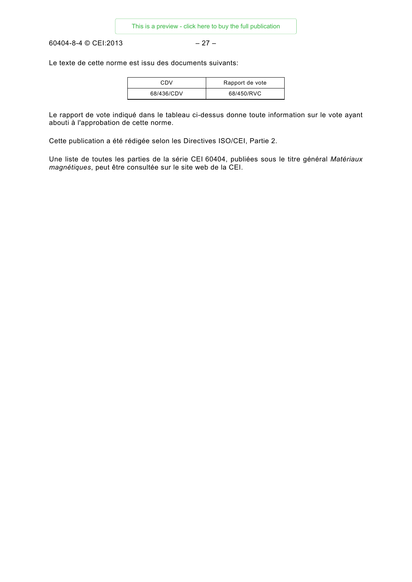60404-8-4 © CEI:2013 – 27 –

Le texte de cette norme est issu des documents suivants:

| CDV        | Rapport de vote |  |
|------------|-----------------|--|
| 68/436/CDV | 68/450/RVC      |  |

Le rapport de vote indiqué dans le tableau ci-dessus donne toute information sur le vote ayant abouti à l'approbation de cette norme.

Cette publication a été rédigée selon les Directives ISO/CEI, Partie 2.

Une liste de toutes les parties de la série CEI 60404, publiées sous le titre général *Matériaux magnétiques*, peut être consultée sur le site web de la CEI.